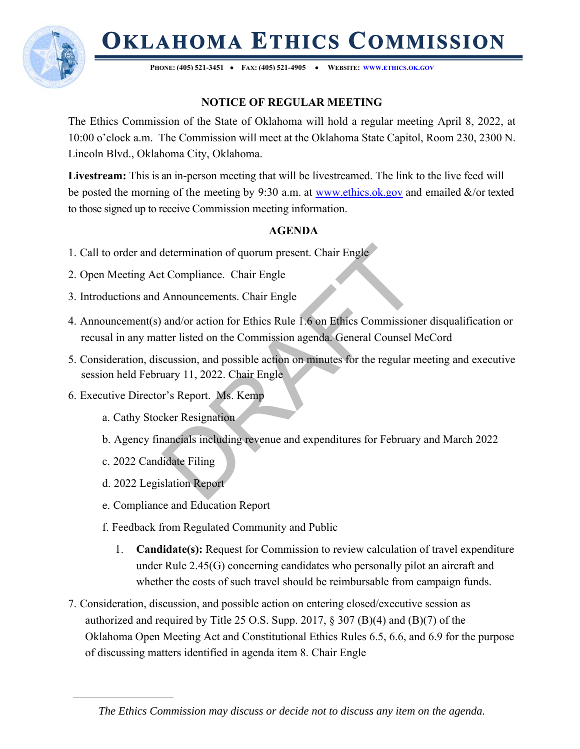# **OKLAHOMA ETHICS COMMISSION**



**PHONE: (405) 521-3451 FAX: (405) 521-4905 WEBSITE: WWW.ETHICS.OK.GOV**

## **NOTICE OF REGULAR MEETING**

The Ethics Commission of the State of Oklahoma will hold a regular meeting April 8, 2022, at 10:00 o'clock a.m. The Commission will meet at the Oklahoma State Capitol, Room 230, 2300 N. Lincoln Blvd., Oklahoma City, Oklahoma.

**Livestream:** This is an in-person meeting that will be livestreamed. The link to the live feed will be posted the morning of the meeting by 9:30 a.m. at www.ethics.ok.gov and emailed &/or texted to those signed up to receive Commission meeting information.

### **AGENDA**

- 1. Call to order and determination of quorum present. Chair Engle
- 2. Open Meeting Act Compliance. Chair Engle
- 3. Introductions and Announcements. Chair Engle
- determination of quorum present. Chair Engle<br>
t Compliance. Chair Engle<br>
Announcements. Chair Engle<br>
and/or action for Ethics Rule 1.6 on Ethics Commission<br>
tter listed on the Commission agenda. General Counsel N<br>
cussion, 4. Announcement(s) and/or action for Ethics Rule 1.6 on Ethics Commissioner disqualification or recusal in any matter listed on the Commission agenda. General Counsel McCord
- 5. Consideration, discussion, and possible action on minutes for the regular meeting and executive session held February 11, 2022. Chair Engle
- 6. Executive Director's Report. Ms. Kemp
	- a. Cathy Stocker Resignation
	- b. Agency financials including revenue and expenditures for February and March 2022
	- c. 2022 Candidate Filing
	- d. 2022 Legislation Report
	- e. Compliance and Education Report
	- f. Feedback from Regulated Community and Public
		- 1. **Candidate(s):** Request for Commission to review calculation of travel expenditure under Rule 2.45(G) concerning candidates who personally pilot an aircraft and whether the costs of such travel should be reimbursable from campaign funds.
- 7. Consideration, discussion, and possible action on entering closed/executive session as authorized and required by Title 25 O.S. Supp. 2017, § 307 (B)(4) and (B)(7) of the Oklahoma Open Meeting Act and Constitutional Ethics Rules 6.5, 6.6, and 6.9 for the purpose of discussing matters identified in agenda item 8. Chair Engle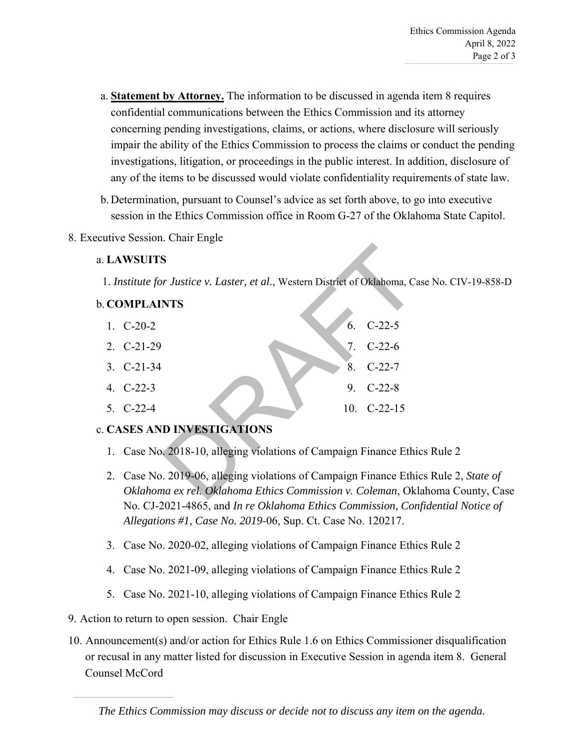- a. **Statement by Attorney.** The information to be discussed in agenda item 8 requires confidential communications between the Ethics Commission and its attorney concerning pending investigations, claims, or actions, where disclosure will seriously impair the ability of the Ethics Commission to process the claims or conduct the pending investigations, litigation, or proceedings in the public interest. In addition, disclosure of any of the items to be discussed would violate confidentiality requirements of state law.
- b. Determination, pursuant to Counsel's advice as set forth above, to go into executive session in the Ethics Commission office in Room G-27 of the Oklahoma State Capitol.
- 8. Executive Session. Chair Engle

#### a. **LAWSUITS**

1. *Institute for Justice v. Laster, et al.*, Western District of Oklahoma, Case No. CIV-19-858-D

#### b. **COMPLAINTS**

|                                                                              | <b>LAWSUITS</b>                                                                                                                  |    |               |  |
|------------------------------------------------------------------------------|----------------------------------------------------------------------------------------------------------------------------------|----|---------------|--|
| 1. Institute for Justice v. Laster, et al., Western District of Oklahoma, Ca |                                                                                                                                  |    |               |  |
|                                                                              | <b>COMPLAINTS</b>                                                                                                                |    |               |  |
|                                                                              | 1. $C-20-2$                                                                                                                      | 6. | $C-22-5$      |  |
|                                                                              | 2. $C-21-29$                                                                                                                     | 7. | $C-22-6$      |  |
|                                                                              | $3. C-21-34$                                                                                                                     | 8. | $C-22-7$      |  |
|                                                                              | 4. $C-22-3$                                                                                                                      |    | 9. C-22-8     |  |
|                                                                              | $5. C-22-4$                                                                                                                      |    | $10. C-22-15$ |  |
| <b>CASES AND INVESTIGATIONS</b>                                              |                                                                                                                                  |    |               |  |
|                                                                              | 1. Case No. 2018-10, alleging violations of Campaign Finance Ethi                                                                |    |               |  |
|                                                                              | 2. Case No. 2019-06, alleging violations of Campaign Finance Ethi<br>Oklahoma ex rel. Oklahoma Ethics Commission v. Coleman, Okl |    |               |  |

#### c. **CASES AND INVESTIGATIONS**

- 1. Case No. 2018-10, alleging violations of Campaign Finance Ethics Rule 2
- 2. Case No. 2019-06, alleging violations of Campaign Finance Ethics Rule 2, *State of Oklahoma ex rel. Oklahoma Ethics Commission v. Coleman*, Oklahoma County, Case No. CJ-2021-4865, and *In re Oklahoma Ethics Commission, Confidential Notice of Allegations #1, Case No. 2019-*06, Sup. Ct. Case No. 120217.
- 3. Case No. 2020-02, alleging violations of Campaign Finance Ethics Rule 2
- 4. Case No. 2021-09, alleging violations of Campaign Finance Ethics Rule 2
- 5. Case No. 2021-10, alleging violations of Campaign Finance Ethics Rule 2
- 9. Action to return to open session. Chair Engle
- 10. Announcement(s) and/or action for Ethics Rule 1.6 on Ethics Commissioner disqualification or recusal in any matter listed for discussion in Executive Session in agenda item 8. General Counsel McCord